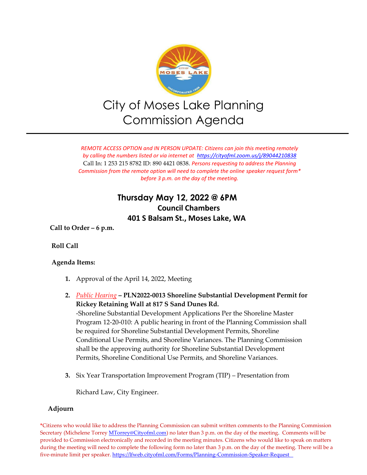

# City of Moses Lake Planning Commission Agenda

*REMOTE ACCESS OPTION and IN PERSON UPDATE: Citizens can join this meeting remotely by calling the numbers listed or via internet at<https://cityofml.zoom.us/j/89044210838>* Call In: 1 253 215 8782 ID: 890 4421 0838. *Persons requesting to address the Planning Commission from the remote option will need to complete the online speaker request form\* before 3 p.m. on the day of the meeting.*

# **Thursday May 12, 2022 @ 6PM Council Chambers 401 S Balsam St., Moses Lake, WA**

**Call to Order – 6 p.m.**

## **Roll Call**

### **Agenda Items:**

- **1.** Approval of the April 14, 2022, Meeting
- **2.** *Public Hearing* **– PLN2022-0013 Shoreline Substantial Development Permit for Rickey Retaining Wall at 817 S Sand Dunes Rd.**  -Shoreline Substantial Development Applications Per the Shoreline Master Program 12-20-010: A public hearing in front of the Planning Commission shall be required for Shoreline Substantial Development Permits, Shoreline Conditional Use Permits, and Shoreline Variances. The Planning Commission shall be the approving authority for Shoreline Substantial Development Permits, Shoreline Conditional Use Permits, and Shoreline Variances.
- **3.** Six Year Transportation Improvement Program (TIP) Presentation from

Richard Law, City Engineer.

### **Adjourn**

**\***Citizens who would like to address the Planning Commission can submit written comments to the Planning Commission Secretary (Michelene Torrey [MTorrey@Cityofml.com\)](mailto:MTorrey@Cityofml.com) no later than 3 p.m. on the day of the meeting. Comments will be provided to Commission electronically and recorded in the meeting minutes. Citizens who would like to speak on matters during the meeting will need to complete the following form no later than 3 p.m. on the day of the meeting. There will be a five-minute limit per speaker[. https://lfweb.cityofml.com/Forms/Planning-Commission-Speaker-Request](https://lfweb.cityofml.com/Forms/Planning-Commission-Speaker-Request)